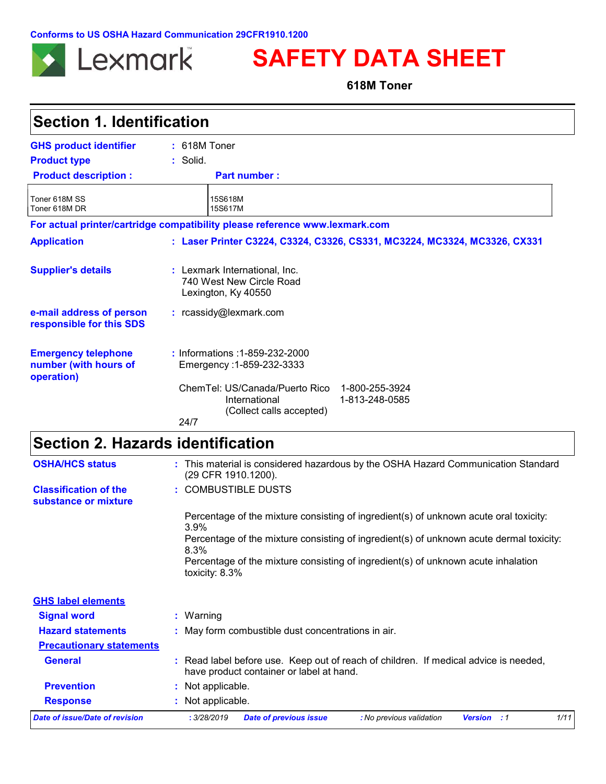**Conforms to US OSHA Hazard Communication 29CFR1910.1200**



# **SAFETY DATA SHEET**

**618M Toner**

| <b>Section 1. Identification</b>                                                  |                                                                                                                 |
|-----------------------------------------------------------------------------------|-----------------------------------------------------------------------------------------------------------------|
| <b>GHS product identifier</b>                                                     | $: 618M$ Toner                                                                                                  |
| <b>Product type</b>                                                               | $:$ Solid.                                                                                                      |
| <b>Product description:</b>                                                       | <b>Part number:</b>                                                                                             |
| Toner 618M SS<br>Toner 618M DR                                                    | 15S618M<br>15S617M                                                                                              |
|                                                                                   | For actual printer/cartridge compatibility please reference www.lexmark.com                                     |
| <b>Application</b>                                                                | : Laser Printer C3224, C3324, C3326, CS331, MC3224, MC3324, MC3326, CX331                                       |
| <b>Supplier's details</b><br>e-mail address of person<br>responsible for this SDS | : Lexmark International, Inc.<br>740 West New Circle Road<br>Lexington, Ky 40550<br>: rcassidy@lexmark.com      |
| <b>Emergency telephone</b><br>number (with hours of<br>operation)                 | : Informations : 1-859-232-2000<br>Emergency: 1-859-232-3333                                                    |
|                                                                                   | ChemTel: US/Canada/Puerto Rico<br>1-800-255-3924<br>1-813-248-0585<br>International<br>(Collect calls accepted) |
|                                                                                   | 24/7                                                                                                            |
| <b>Section 2. Hazards identification</b>                                          |                                                                                                                 |

| <b>OSHA/HCS status</b>                               | : This material is considered hazardous by the OSHA Hazard Communication Standard<br>(29 CFR 1910.1200).                         |
|------------------------------------------------------|----------------------------------------------------------------------------------------------------------------------------------|
| <b>Classification of the</b><br>substance or mixture | : COMBUSTIBLE DUSTS                                                                                                              |
|                                                      | Percentage of the mixture consisting of ingredient(s) of unknown acute oral toxicity:<br>$3.9\%$                                 |
|                                                      | Percentage of the mixture consisting of ingredient(s) of unknown acute dermal toxicity:<br>8.3%                                  |
|                                                      | Percentage of the mixture consisting of ingredient(s) of unknown acute inhalation<br>toxicity: $8.3\%$                           |
| <b>GHS label elements</b>                            |                                                                                                                                  |
| <b>Signal word</b>                                   | $:$ Warning                                                                                                                      |
| <b>Hazard statements</b>                             | : May form combustible dust concentrations in air.                                                                               |
| <b>Precautionary statements</b>                      |                                                                                                                                  |
| <b>General</b>                                       | : Read label before use. Keep out of reach of children. If medical advice is needed,<br>have product container or label at hand. |
| <b>Prevention</b>                                    | : Not applicable.                                                                                                                |
| <b>Response</b>                                      | : Not applicable.                                                                                                                |
| Date of issue/Date of revision                       | 1/11<br>: 3/28/2019<br>: No previous validation<br><b>Date of previous issue</b><br><b>Version</b> : 1                           |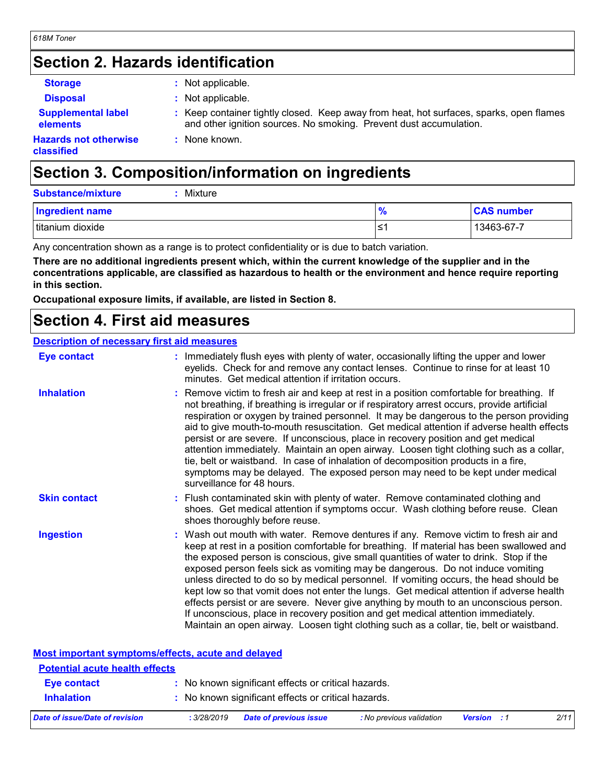# **Section 2. Hazards identification**

| <b>Storage</b>                               | : Not applicable.                                                                                                                                             |
|----------------------------------------------|---------------------------------------------------------------------------------------------------------------------------------------------------------------|
| <b>Disposal</b>                              | : Not applicable.                                                                                                                                             |
| <b>Supplemental label</b><br><b>elements</b> | : Keep container tightly closed. Keep away from heat, hot surfaces, sparks, open flames<br>and other ignition sources. No smoking. Prevent dust accumulation. |
| <b>Hazards not otherwise</b><br>classified   | : None known.                                                                                                                                                 |

# **Section 3. Composition/information on ingredients**

| <b>Substance/mixture</b><br>Mixture |               |                   |
|-------------------------------------|---------------|-------------------|
| <b>Ingredient name</b>              | $\frac{9}{6}$ | <b>CAS number</b> |
| titanium dioxide                    | '≥'           | 13463-67-7        |

Any concentration shown as a range is to protect confidentiality or is due to batch variation.

**There are no additional ingredients present which, within the current knowledge of the supplier and in the concentrations applicable, are classified as hazardous to health or the environment and hence require reporting in this section.**

**Occupational exposure limits, if available, are listed in Section 8.**

## **Section 4. First aid measures**

### **Description of necessary first aid measures**

| <b>Eye contact</b>  | : Immediately flush eyes with plenty of water, occasionally lifting the upper and lower<br>eyelids. Check for and remove any contact lenses. Continue to rinse for at least 10<br>minutes. Get medical attention if irritation occurs.                                                                                                                                                                                                                                                                                                                                                                                                                                                                                                                                                                                    |
|---------------------|---------------------------------------------------------------------------------------------------------------------------------------------------------------------------------------------------------------------------------------------------------------------------------------------------------------------------------------------------------------------------------------------------------------------------------------------------------------------------------------------------------------------------------------------------------------------------------------------------------------------------------------------------------------------------------------------------------------------------------------------------------------------------------------------------------------------------|
| <b>Inhalation</b>   | : Remove victim to fresh air and keep at rest in a position comfortable for breathing. If<br>not breathing, if breathing is irregular or if respiratory arrest occurs, provide artificial<br>respiration or oxygen by trained personnel. It may be dangerous to the person providing<br>aid to give mouth-to-mouth resuscitation. Get medical attention if adverse health effects<br>persist or are severe. If unconscious, place in recovery position and get medical<br>attention immediately. Maintain an open airway. Loosen tight clothing such as a collar,<br>tie, belt or waistband. In case of inhalation of decomposition products in a fire,<br>symptoms may be delayed. The exposed person may need to be kept under medical<br>surveillance for 48 hours.                                                    |
| <b>Skin contact</b> | : Flush contaminated skin with plenty of water. Remove contaminated clothing and<br>shoes. Get medical attention if symptoms occur. Wash clothing before reuse. Clean<br>shoes thoroughly before reuse.                                                                                                                                                                                                                                                                                                                                                                                                                                                                                                                                                                                                                   |
| <b>Ingestion</b>    | : Wash out mouth with water. Remove dentures if any. Remove victim to fresh air and<br>keep at rest in a position comfortable for breathing. If material has been swallowed and<br>the exposed person is conscious, give small quantities of water to drink. Stop if the<br>exposed person feels sick as vomiting may be dangerous. Do not induce vomiting<br>unless directed to do so by medical personnel. If vomiting occurs, the head should be<br>kept low so that vomit does not enter the lungs. Get medical attention if adverse health<br>effects persist or are severe. Never give anything by mouth to an unconscious person.<br>If unconscious, place in recovery position and get medical attention immediately.<br>Maintain an open airway. Loosen tight clothing such as a collar, tie, belt or waistband. |

| <b>Most important symptoms/effects, acute and delayed</b> |             |                                                     |                          |                    |      |
|-----------------------------------------------------------|-------------|-----------------------------------------------------|--------------------------|--------------------|------|
| <b>Potential acute health effects</b>                     |             |                                                     |                          |                    |      |
| Eye contact                                               |             | : No known significant effects or critical hazards. |                          |                    |      |
| <b>Inhalation</b>                                         |             | : No known significant effects or critical hazards. |                          |                    |      |
| Date of issue/Date of revision                            | : 3/28/2019 | <b>Date of previous issue</b>                       | : No previous validation | <b>Version</b> : 1 | 2/11 |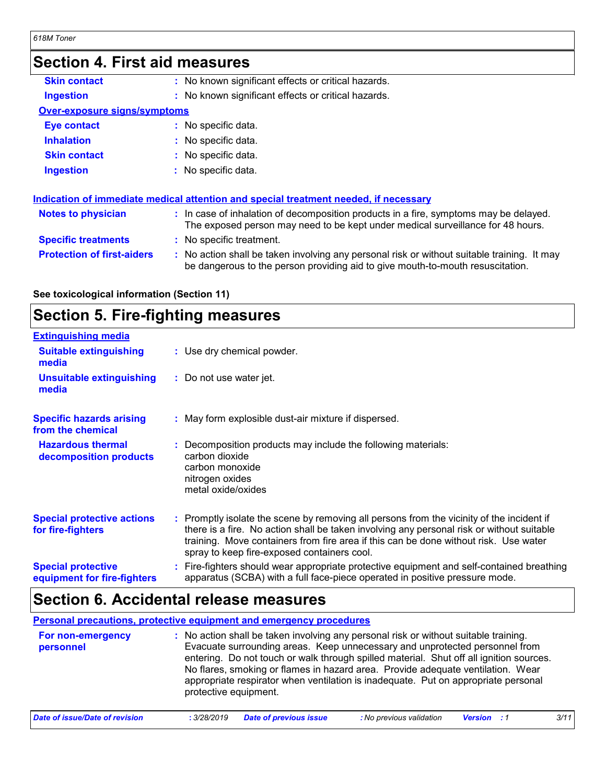## **Section 4. Eirct aid**

| ƏRCUQII 4. FIISI AIU MIRASUTRS      |                                                                                                                                                                               |
|-------------------------------------|-------------------------------------------------------------------------------------------------------------------------------------------------------------------------------|
| <b>Skin contact</b>                 | : No known significant effects or critical hazards.                                                                                                                           |
| <b>Ingestion</b>                    | : No known significant effects or critical hazards.                                                                                                                           |
| <b>Over-exposure signs/symptoms</b> |                                                                                                                                                                               |
| <b>Eye contact</b>                  | : No specific data.                                                                                                                                                           |
| <b>Inhalation</b>                   | : No specific data.                                                                                                                                                           |
| <b>Skin contact</b>                 | : No specific data.                                                                                                                                                           |
| <b>Ingestion</b>                    | : No specific data.                                                                                                                                                           |
|                                     | Indication of immediate medical attention and special treatment needed, if necessary                                                                                          |
| <b>Notes to physician</b>           | : In case of inhalation of decomposition products in a fire, symptoms may be delayed.<br>The exposed person may need to be kept under medical surveillance for 48 hours.      |
| <b>Specific treatments</b>          | : No specific treatment.                                                                                                                                                      |
| <b>Protection of first-aiders</b>   | : No action shall be taken involving any personal risk or without suitable training. It may<br>be dangerous to the person providing aid to give mouth-to-mouth resuscitation. |

**See toxicological information (Section 11)**

# **Section 5. Fire-fighting measures**

| <b>Extinguishing media</b>                               |                                                                                                                                                                                                                                                                                                                               |
|----------------------------------------------------------|-------------------------------------------------------------------------------------------------------------------------------------------------------------------------------------------------------------------------------------------------------------------------------------------------------------------------------|
| <b>Suitable extinguishing</b><br>media                   | : Use dry chemical powder.                                                                                                                                                                                                                                                                                                    |
| <b>Unsuitable extinguishing</b><br>media                 | : Do not use water jet.                                                                                                                                                                                                                                                                                                       |
| <b>Specific hazards arising</b><br>from the chemical     | : May form explosible dust-air mixture if dispersed.                                                                                                                                                                                                                                                                          |
| <b>Hazardous thermal</b><br>decomposition products       | Decomposition products may include the following materials:<br>carbon dioxide<br>carbon monoxide<br>nitrogen oxides<br>metal oxide/oxides                                                                                                                                                                                     |
| <b>Special protective actions</b><br>for fire-fighters   | : Promptly isolate the scene by removing all persons from the vicinity of the incident if<br>there is a fire. No action shall be taken involving any personal risk or without suitable<br>training. Move containers from fire area if this can be done without risk. Use water<br>spray to keep fire-exposed containers cool. |
| <b>Special protective</b><br>equipment for fire-fighters | : Fire-fighters should wear appropriate protective equipment and self-contained breathing<br>apparatus (SCBA) with a full face-piece operated in positive pressure mode.                                                                                                                                                      |

# **Section 6. Accidental release measures**

**Personal precautions, protective equipment and emergency procedures**

| For non-emergency | : No action shall be taken involving any personal risk or without suitable training.                                                                                                           |
|-------------------|------------------------------------------------------------------------------------------------------------------------------------------------------------------------------------------------|
| personnel         | Evacuate surrounding areas. Keep unnecessary and unprotected personnel from<br>entering. Do not touch or walk through spilled material. Shut off all ignition sources.                         |
|                   | No flares, smoking or flames in hazard area. Provide adequate ventilation. Wear<br>appropriate respirator when ventilation is inadequate. Put on appropriate personal<br>protective equipment. |

| Date of issue/Date of revision | : 3/28/2019 Date of previous issue | : No previous validation | <b>Version</b> : 1 | 3/11 |
|--------------------------------|------------------------------------|--------------------------|--------------------|------|
|                                |                                    |                          |                    |      |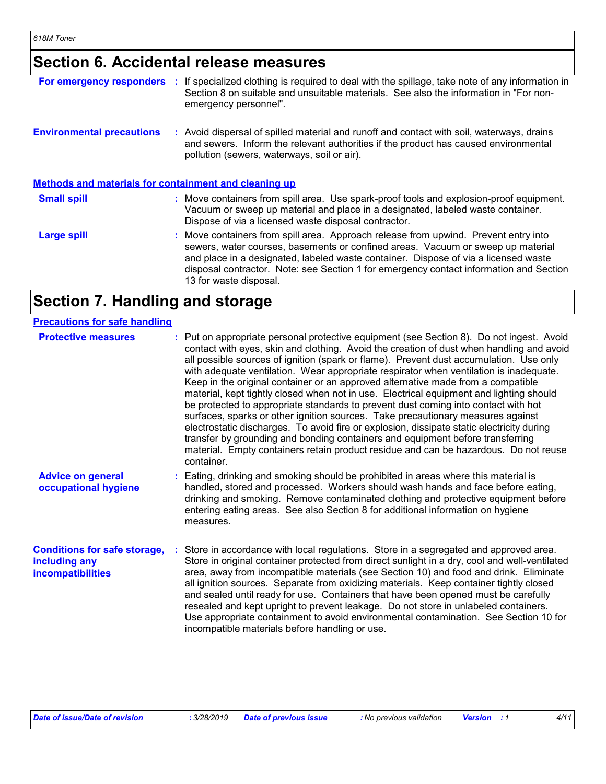# **Section 6. Accidental release measures**

| For emergency responders                              | ÷. | If specialized clothing is required to deal with the spillage, take note of any information in<br>Section 8 on suitable and unsuitable materials. See also the information in "For non-<br>emergency personnel".                                                                                                                                                                  |
|-------------------------------------------------------|----|-----------------------------------------------------------------------------------------------------------------------------------------------------------------------------------------------------------------------------------------------------------------------------------------------------------------------------------------------------------------------------------|
| <b>Environmental precautions</b>                      |    | : Avoid dispersal of spilled material and runoff and contact with soil, waterways, drains<br>and sewers. Inform the relevant authorities if the product has caused environmental<br>pollution (sewers, waterways, soil or air).                                                                                                                                                   |
| Methods and materials for containment and cleaning up |    |                                                                                                                                                                                                                                                                                                                                                                                   |
| <b>Small spill</b>                                    |    | : Move containers from spill area. Use spark-proof tools and explosion-proof equipment.<br>Vacuum or sweep up material and place in a designated, labeled waste container.<br>Dispose of via a licensed waste disposal contractor.                                                                                                                                                |
| <b>Large spill</b>                                    |    | : Move containers from spill area. Approach release from upwind. Prevent entry into<br>sewers, water courses, basements or confined areas. Vacuum or sweep up material<br>and place in a designated, labeled waste container. Dispose of via a licensed waste<br>disposal contractor. Note: see Section 1 for emergency contact information and Section<br>13 for waste disposal. |

# **Section 7. Handling and storage**

| <b>Precautions for safe handling</b>                                      |                                                                                                                                                                                                                                                                                                                                                                                                                                                                                                                                                                                                                                                                                                                                                                                                                                                                                                                                                                                                                       |
|---------------------------------------------------------------------------|-----------------------------------------------------------------------------------------------------------------------------------------------------------------------------------------------------------------------------------------------------------------------------------------------------------------------------------------------------------------------------------------------------------------------------------------------------------------------------------------------------------------------------------------------------------------------------------------------------------------------------------------------------------------------------------------------------------------------------------------------------------------------------------------------------------------------------------------------------------------------------------------------------------------------------------------------------------------------------------------------------------------------|
| <b>Protective measures</b>                                                | : Put on appropriate personal protective equipment (see Section 8). Do not ingest. Avoid<br>contact with eyes, skin and clothing. Avoid the creation of dust when handling and avoid<br>all possible sources of ignition (spark or flame). Prevent dust accumulation. Use only<br>with adequate ventilation. Wear appropriate respirator when ventilation is inadequate.<br>Keep in the original container or an approved alternative made from a compatible<br>material, kept tightly closed when not in use. Electrical equipment and lighting should<br>be protected to appropriate standards to prevent dust coming into contact with hot<br>surfaces, sparks or other ignition sources. Take precautionary measures against<br>electrostatic discharges. To avoid fire or explosion, dissipate static electricity during<br>transfer by grounding and bonding containers and equipment before transferring<br>material. Empty containers retain product residue and can be hazardous. Do not reuse<br>container. |
| <b>Advice on general</b><br>occupational hygiene                          | : Eating, drinking and smoking should be prohibited in areas where this material is<br>handled, stored and processed. Workers should wash hands and face before eating,<br>drinking and smoking. Remove contaminated clothing and protective equipment before<br>entering eating areas. See also Section 8 for additional information on hygiene<br>measures.                                                                                                                                                                                                                                                                                                                                                                                                                                                                                                                                                                                                                                                         |
| <b>Conditions for safe storage,</b><br>including any<br>incompatibilities | : Store in accordance with local regulations. Store in a segregated and approved area.<br>Store in original container protected from direct sunlight in a dry, cool and well-ventilated<br>area, away from incompatible materials (see Section 10) and food and drink. Eliminate<br>all ignition sources. Separate from oxidizing materials. Keep container tightly closed<br>and sealed until ready for use. Containers that have been opened must be carefully<br>resealed and kept upright to prevent leakage. Do not store in unlabeled containers.<br>Use appropriate containment to avoid environmental contamination. See Section 10 for<br>incompatible materials before handling or use.                                                                                                                                                                                                                                                                                                                     |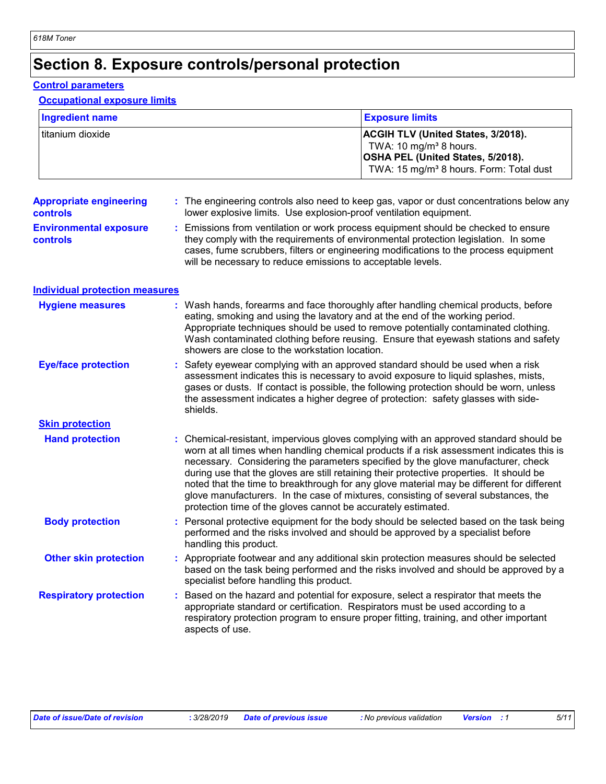# **Section 8. Exposure controls/personal protection**

### **Control parameters**

### **Occupational exposure limits**

| Ingredient name  | <b>Exposure limits</b>                                                                                                                                                             |
|------------------|------------------------------------------------------------------------------------------------------------------------------------------------------------------------------------|
| titanium dioxide | <b>ACGIH TLV (United States, 3/2018).</b><br>TWA: 10 mg/m <sup>3</sup> 8 hours.<br><b>OSHA PEL (United States, 5/2018).</b><br>TWA: 15 mg/m <sup>3</sup> 8 hours. Form: Total dust |

#### **Appropriate engineering controls :** The engineering controls also need to keep gas, vapor or dust concentrations below any lower explosive limits. Use explosion-proof ventilation equipment.

**Environmental exposure controls :** Emissions from ventilation or work process equipment should be checked to ensure they comply with the requirements of environmental protection legislation. In some cases, fume scrubbers, filters or engineering modifications to the process equipment will be necessary to reduce emissions to acceptable levels.

| <b>Individual protection measures</b> |
|---------------------------------------|
|---------------------------------------|

| <b>Hygiene measures</b>       | : Wash hands, forearms and face thoroughly after handling chemical products, before<br>eating, smoking and using the lavatory and at the end of the working period.<br>Appropriate techniques should be used to remove potentially contaminated clothing.<br>Wash contaminated clothing before reusing. Ensure that eyewash stations and safety<br>showers are close to the workstation location.                                                                                                                                                                                                                      |
|-------------------------------|------------------------------------------------------------------------------------------------------------------------------------------------------------------------------------------------------------------------------------------------------------------------------------------------------------------------------------------------------------------------------------------------------------------------------------------------------------------------------------------------------------------------------------------------------------------------------------------------------------------------|
| <b>Eye/face protection</b>    | : Safety eyewear complying with an approved standard should be used when a risk<br>assessment indicates this is necessary to avoid exposure to liquid splashes, mists,<br>gases or dusts. If contact is possible, the following protection should be worn, unless<br>the assessment indicates a higher degree of protection: safety glasses with side-<br>shields.                                                                                                                                                                                                                                                     |
| <b>Skin protection</b>        |                                                                                                                                                                                                                                                                                                                                                                                                                                                                                                                                                                                                                        |
| <b>Hand protection</b>        | : Chemical-resistant, impervious gloves complying with an approved standard should be<br>worn at all times when handling chemical products if a risk assessment indicates this is<br>necessary. Considering the parameters specified by the glove manufacturer, check<br>during use that the gloves are still retaining their protective properties. It should be<br>noted that the time to breakthrough for any glove material may be different for different<br>glove manufacturers. In the case of mixtures, consisting of several substances, the<br>protection time of the gloves cannot be accurately estimated. |
| <b>Body protection</b>        | : Personal protective equipment for the body should be selected based on the task being<br>performed and the risks involved and should be approved by a specialist before<br>handling this product.                                                                                                                                                                                                                                                                                                                                                                                                                    |
| <b>Other skin protection</b>  | : Appropriate footwear and any additional skin protection measures should be selected<br>based on the task being performed and the risks involved and should be approved by a<br>specialist before handling this product.                                                                                                                                                                                                                                                                                                                                                                                              |
| <b>Respiratory protection</b> | : Based on the hazard and potential for exposure, select a respirator that meets the<br>appropriate standard or certification. Respirators must be used according to a<br>respiratory protection program to ensure proper fitting, training, and other important<br>aspects of use.                                                                                                                                                                                                                                                                                                                                    |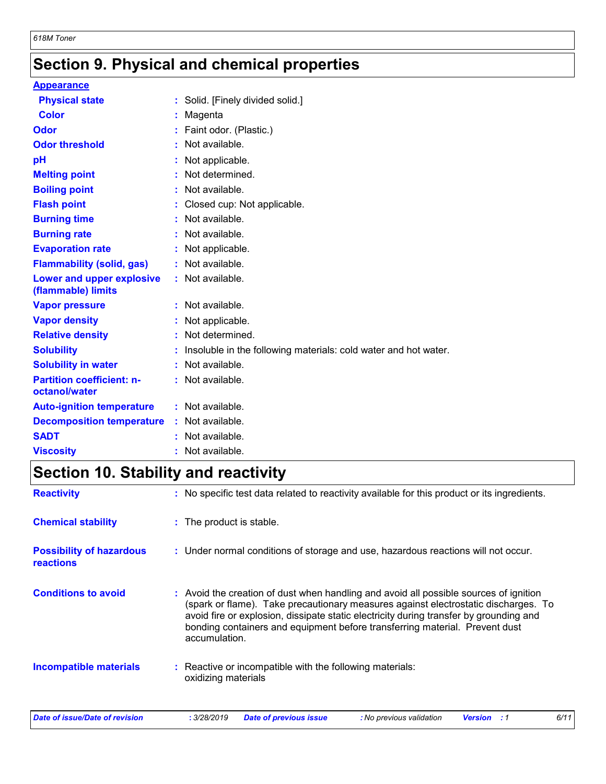# **Section 9. Physical and chemical properties**

### **Appearance**

| _________________                                 |                                                                 |
|---------------------------------------------------|-----------------------------------------------------------------|
| <b>Physical state</b>                             | : Solid. [Finely divided solid.]                                |
| <b>Color</b>                                      | Magenta                                                         |
| <b>Odor</b>                                       | Faint odor. (Plastic.)                                          |
| <b>Odor threshold</b>                             | : Not available.                                                |
| pH                                                | Not applicable.                                                 |
| <b>Melting point</b>                              | : Not determined.                                               |
| <b>Boiling point</b>                              | : Not available.                                                |
| <b>Flash point</b>                                | : Closed cup: Not applicable.                                   |
| <b>Burning time</b>                               | : Not available.                                                |
| <b>Burning rate</b>                               | : Not available.                                                |
| <b>Evaporation rate</b>                           | : Not applicable.                                               |
| <b>Flammability (solid, gas)</b>                  | : Not available.                                                |
| Lower and upper explosive<br>(flammable) limits   | : Not available.                                                |
| <b>Vapor pressure</b>                             | : Not available.                                                |
| <b>Vapor density</b>                              | Not applicable.                                                 |
| <b>Relative density</b>                           | : Not determined.                                               |
| <b>Solubility</b>                                 | Insoluble in the following materials: cold water and hot water. |
| <b>Solubility in water</b>                        | $:$ Not available.                                              |
| <b>Partition coefficient: n-</b><br>octanol/water | : Not available.                                                |
| <b>Auto-ignition temperature</b>                  | : Not available.                                                |
| <b>Decomposition temperature</b>                  | : Not available.                                                |
| <b>SADT</b>                                       | Not available.                                                  |
| <b>Viscosity</b>                                  | Not available.                                                  |

# **Section 10. Stability and reactivity**

| <b>Reactivity</b>                            | : No specific test data related to reactivity available for this product or its ingredients.                                                                                                                                                                                                                                                                          |
|----------------------------------------------|-----------------------------------------------------------------------------------------------------------------------------------------------------------------------------------------------------------------------------------------------------------------------------------------------------------------------------------------------------------------------|
| <b>Chemical stability</b>                    | : The product is stable.                                                                                                                                                                                                                                                                                                                                              |
| <b>Possibility of hazardous</b><br>reactions | : Under normal conditions of storage and use, hazardous reactions will not occur.                                                                                                                                                                                                                                                                                     |
| <b>Conditions to avoid</b>                   | : Avoid the creation of dust when handling and avoid all possible sources of ignition<br>(spark or flame). Take precautionary measures against electrostatic discharges. To<br>avoid fire or explosion, dissipate static electricity during transfer by grounding and<br>bonding containers and equipment before transferring material. Prevent dust<br>accumulation. |
| <b>Incompatible materials</b>                | : Reactive or incompatible with the following materials:<br>oxidizing materials                                                                                                                                                                                                                                                                                       |
| Date of issue/Date of revision               | 6/11<br>: 3/28/2019<br><b>Date of previous issue</b><br>: No previous validation<br><b>Version</b><br>. . 1                                                                                                                                                                                                                                                           |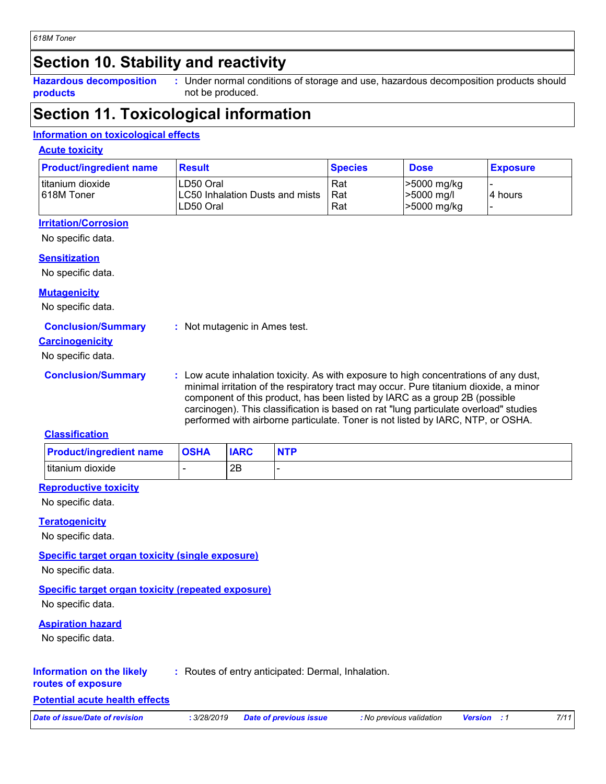# **Section 10. Stability and reactivity**

**Hazardous decomposition products**

Under normal conditions of storage and use, hazardous decomposition products should **:** not be produced.

## **Section 11. Toxicological information**

### **Information on toxicological effects**

### **Acute toxicity**

| <b>Product/ingredient name</b> | <b>Result</b>                                              | <b>Species</b>      | <b>Dose</b>                                | <b>Exposure</b> |
|--------------------------------|------------------------------------------------------------|---------------------|--------------------------------------------|-----------------|
| titanium dioxide<br>618M Toner | LD50 Oral<br>ILC50 Inhalation Dusts and mists<br>LD50 Oral | Rat<br>l Rat<br>Rat | -5000 mg/kg<br>$>5000$ mg/l<br>>5000 mg/kg | 4 hours         |

### **Irritation/Corrosion**

No specific data.

### **Sensitization**

No specific data.

### **Mutagenicity**

No specific data.

### **Conclusion/Summary :** Not mutagenic in Ames test.

### **Carcinogenicity**

No specific data.

**Conclusion/Summary :** Low acute inhalation toxicity. As with exposure to high concentrations of any dust, minimal irritation of the respiratory tract may occur. Pure titanium dioxide, a minor component of this product, has been listed by IARC as a group 2B (possible carcinogen). This classification is based on rat "lung particulate overload" studies performed with airborne particulate. Toner is not listed by IARC, NTP, or OSHA.

### **Classification**

| <b>Product/ingredient name</b> | <b>OSHA</b> | <b>IARC</b> | <b>NTP</b> |
|--------------------------------|-------------|-------------|------------|
| titanium dioxide               |             | 2B          |            |

### **Reproductive toxicity**

No specific data.

### **Teratogenicity**

No specific data.

### **Specific target organ toxicity (single exposure)**

No specific data.

### **Specific target organ toxicity (repeated exposure)**

No specific data.

### **Aspiration hazard**

No specific data.

#### **Information on the likely :** Routes of entry anticipated: Dermal, Inhalation.

### **routes of exposure Potential acute health effects**

*Date of issue/Date of revision* **:** *3/28/2019 Date of previous issue : No previous validation Version : 1 7/11*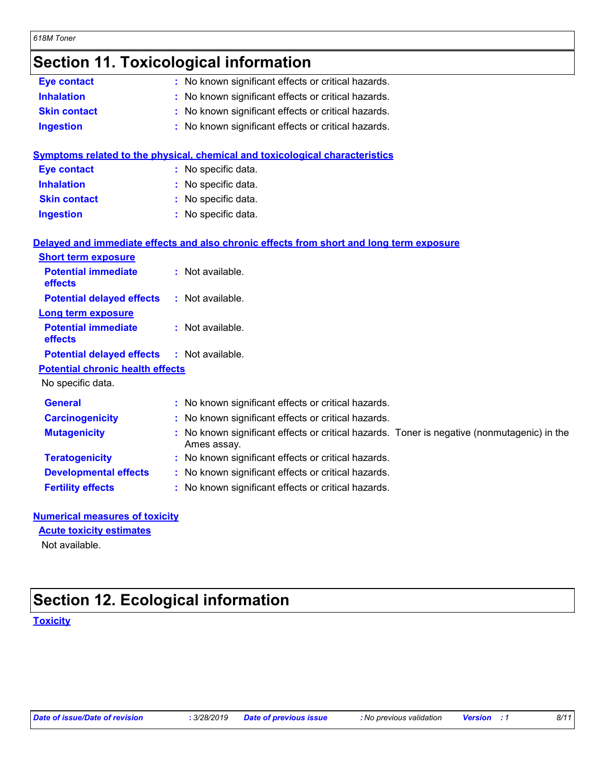| 618M Toner |
|------------|
|------------|

# **Section 11. Toxicological information**

| <b>Eye contact</b>  | : No known significant effects or critical hazards. |  |
|---------------------|-----------------------------------------------------|--|
| <b>Inhalation</b>   | : No known significant effects or critical hazards. |  |
| <b>Skin contact</b> | : No known significant effects or critical hazards. |  |
| <b>Ingestion</b>    | : No known significant effects or critical hazards. |  |

|                     | Symptoms related to the physical, chemical and toxicological characteristics |
|---------------------|------------------------------------------------------------------------------|
| Eye contact         | : No specific data.                                                          |
| <b>Inhalation</b>   | : No specific data.                                                          |
| <b>Skin contact</b> | : No specific data.                                                          |
| <b>Ingestion</b>    | : No specific data.                                                          |

|                                                   | Delayed and immediate effects and also chronic effects from short and long term exposure                   |
|---------------------------------------------------|------------------------------------------------------------------------------------------------------------|
| <b>Short term exposure</b>                        |                                                                                                            |
| <b>Potential immediate</b><br><b>effects</b>      | : Not available.                                                                                           |
| <b>Potential delayed effects</b>                  | : Not available.                                                                                           |
| <b>Long term exposure</b>                         |                                                                                                            |
| <b>Potential immediate</b><br><b>effects</b>      | : Not available.                                                                                           |
| <b>Potential delayed effects : Not available.</b> |                                                                                                            |
| <b>Potential chronic health effects</b>           |                                                                                                            |
| No specific data.                                 |                                                                                                            |
| <b>General</b>                                    | : No known significant effects or critical hazards.                                                        |
| <b>Carcinogenicity</b>                            | : No known significant effects or critical hazards.                                                        |
| <b>Mutagenicity</b>                               | : No known significant effects or critical hazards. Toner is negative (nonmutagenic) in the<br>Ames assay. |
| <b>Teratogenicity</b>                             | : No known significant effects or critical hazards.                                                        |
| <b>Developmental effects</b>                      | : No known significant effects or critical hazards.                                                        |
| <b>Fertility effects</b>                          | : No known significant effects or critical hazards.                                                        |

### **Numerical measures of toxicity**

### **Acute toxicity estimates**

Not available.

# **Section 12. Ecological information**

**Toxicity**

|  |  | Date of issue/Date of revision |
|--|--|--------------------------------|
|--|--|--------------------------------|

*Date of issue/Date of revision* **:** *3/28/2019 Date of previous issue : No previous validation Version : 1 8/11*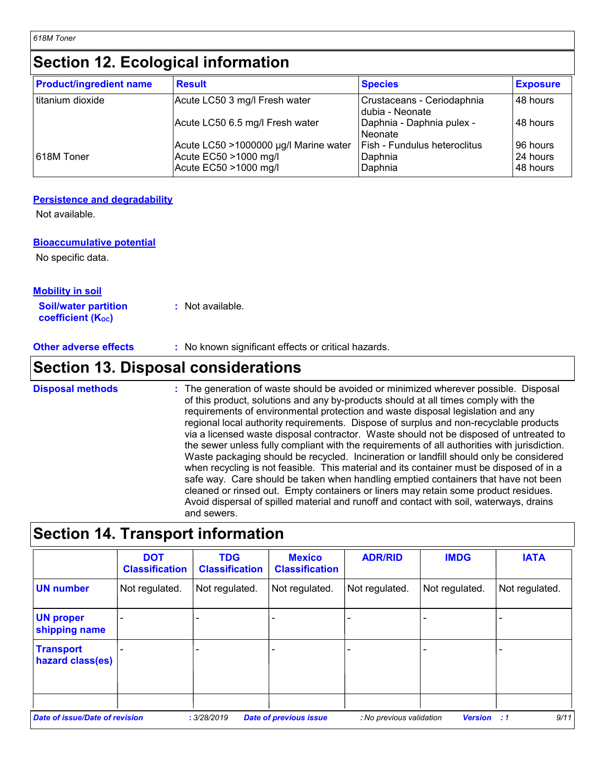*618M Toner*

# **Section 12. Ecological information**

| <b>Product/ingredient name</b> | <b>Result</b>                                  | <b>Species</b>                                | <b>Exposure</b>      |
|--------------------------------|------------------------------------------------|-----------------------------------------------|----------------------|
| titanium dioxide               | Acute LC50 3 mg/l Fresh water                  | Crustaceans - Ceriodaphnia<br>dubia - Neonate | 48 hours             |
|                                | Acute LC50 6.5 mg/l Fresh water                | <b>Daphnia - Daphnia pulex -</b><br>l Neonate | 48 hours             |
|                                | Acute LC50 >1000000 µg/l Marine water          | <b>Fish - Fundulus heteroclitus</b>           | 96 hours             |
| 618M Toner                     | Acute EC50 >1000 mg/l<br>Acute EC50 >1000 mg/l | Daphnia<br>Daphnia                            | 24 hours<br>48 hours |

### **Persistence and degradability**

Not available.

### **Bioaccumulative potential**

No specific data.

## **Mobility in soil**

**Soil/water partition coefficient (K**<sub>oc</sub>) **:** Not available.

**Other adverse effects** : No known significant effects or critical hazards.

# **Section 13. Disposal considerations**

The generation of waste should be avoided or minimized wherever possible. Disposal of this product, solutions and any by-products should at all times comply with the requirements of environmental protection and waste disposal legislation and any regional local authority requirements. Dispose of surplus and non-recyclable products via a licensed waste disposal contractor. Waste should not be disposed of untreated to the sewer unless fully compliant with the requirements of all authorities with jurisdiction. Waste packaging should be recycled. Incineration or landfill should only be considered when recycling is not feasible. This material and its container must be disposed of in a safe way. Care should be taken when handling emptied containers that have not been cleaned or rinsed out. Empty containers or liners may retain some product residues. Avoid dispersal of spilled material and runoff and contact with soil, waterways, drains and sewers. **Disposal methods :**

# **Section 14. Transport information**

|                                      | <b>DOT</b><br><b>Classification</b> | <b>TDG</b><br><b>Classification</b> | <b>Mexico</b><br><b>Classification</b> | <b>ADR/RID</b>           | <b>IMDG</b>        | <b>IATA</b>    |
|--------------------------------------|-------------------------------------|-------------------------------------|----------------------------------------|--------------------------|--------------------|----------------|
| <b>UN number</b>                     | Not regulated.                      | Not regulated.                      | Not regulated.                         | Not regulated.           | Not regulated.     | Not regulated. |
| <b>UN proper</b><br>shipping name    |                                     |                                     |                                        |                          |                    |                |
| <b>Transport</b><br>hazard class(es) |                                     |                                     |                                        |                          |                    |                |
| Date of issue/Date of revision       |                                     | : 3/28/2019                         | <b>Date of previous issue</b>          | : No previous validation | <b>Version</b> : 1 | 9/11           |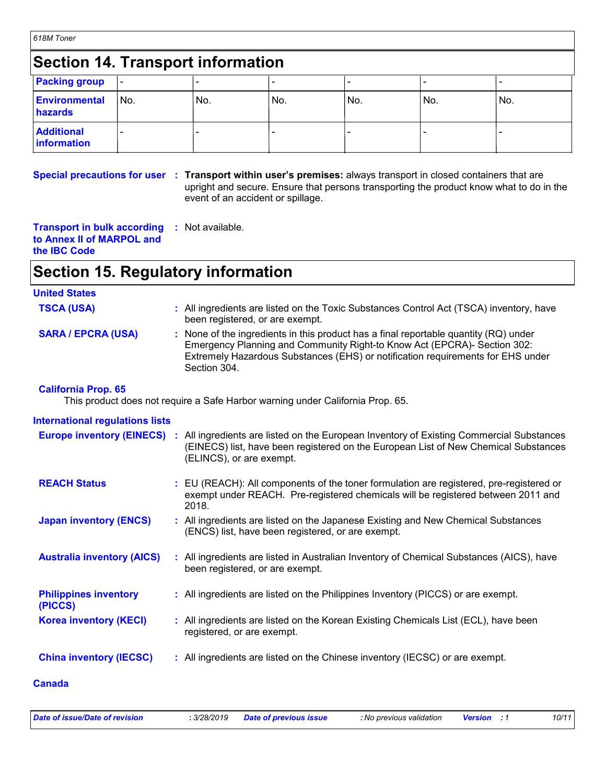| 618M Toner |  |  |  |
|------------|--|--|--|
|------------|--|--|--|

# **Section 14. Transport information**

| <b>Packing group</b>             | ı –             |      |     |     |     |     |
|----------------------------------|-----------------|------|-----|-----|-----|-----|
| <b>Environmental</b><br>hazards  | IN <sub>o</sub> | 'No. | No. | No. | No. | No. |
| <b>Additional</b><br>information |                 |      |     |     |     |     |

**Special precautions for user Transport within user's premises:** always transport in closed containers that are **:** upright and secure. Ensure that persons transporting the product know what to do in the event of an accident or spillage.

**Transport in bulk according :** Not available. **to Annex II of MARPOL and the IBC Code**

# **Section 15. Regulatory information**

| <b>United States</b>                    |                                                                                                                                                                                                                                                                     |
|-----------------------------------------|---------------------------------------------------------------------------------------------------------------------------------------------------------------------------------------------------------------------------------------------------------------------|
| <b>TSCA (USA)</b>                       | : All ingredients are listed on the Toxic Substances Control Act (TSCA) inventory, have<br>been registered, or are exempt.                                                                                                                                          |
| <b>SARA / EPCRA (USA)</b>               | : None of the ingredients in this product has a final reportable quantity (RQ) under<br>Emergency Planning and Community Right-to Know Act (EPCRA)- Section 302:<br>Extremely Hazardous Substances (EHS) or notification requirements for EHS under<br>Section 304. |
| <b>California Prop. 65</b>              | This product does not require a Safe Harbor warning under California Prop. 65.                                                                                                                                                                                      |
| <b>International regulations lists</b>  |                                                                                                                                                                                                                                                                     |
|                                         | <b>Europe inventory (EINECS)</b> : All ingredients are listed on the European Inventory of Existing Commercial Substances<br>(EINECS) list, have been registered on the European List of New Chemical Substances<br>(ELINCS), or are exempt.                        |
| <b>REACH Status</b>                     | : EU (REACH): All components of the toner formulation are registered, pre-registered or<br>exempt under REACH. Pre-registered chemicals will be registered between 2011 and<br>2018.                                                                                |
| <b>Japan inventory (ENCS)</b>           | : All ingredients are listed on the Japanese Existing and New Chemical Substances<br>(ENCS) list, have been registered, or are exempt.                                                                                                                              |
| <b>Australia inventory (AICS)</b>       | : All ingredients are listed in Australian Inventory of Chemical Substances (AICS), have<br>been registered, or are exempt.                                                                                                                                         |
| <b>Philippines inventory</b><br>(PICCS) | : All ingredients are listed on the Philippines Inventory (PICCS) or are exempt.                                                                                                                                                                                    |
| <b>Korea inventory (KECI)</b>           | : All ingredients are listed on the Korean Existing Chemicals List (ECL), have been<br>registered, or are exempt.                                                                                                                                                   |
| <b>China inventory (IECSC)</b>          | : All ingredients are listed on the Chinese inventory (IECSC) or are exempt.                                                                                                                                                                                        |

### **Canada**

| Date of issue/Date of revision | : 3/28/2019 Date of previous issue | : No previous validation | <b>Version</b> : 1 | 10/11 |
|--------------------------------|------------------------------------|--------------------------|--------------------|-------|
|                                |                                    |                          |                    |       |